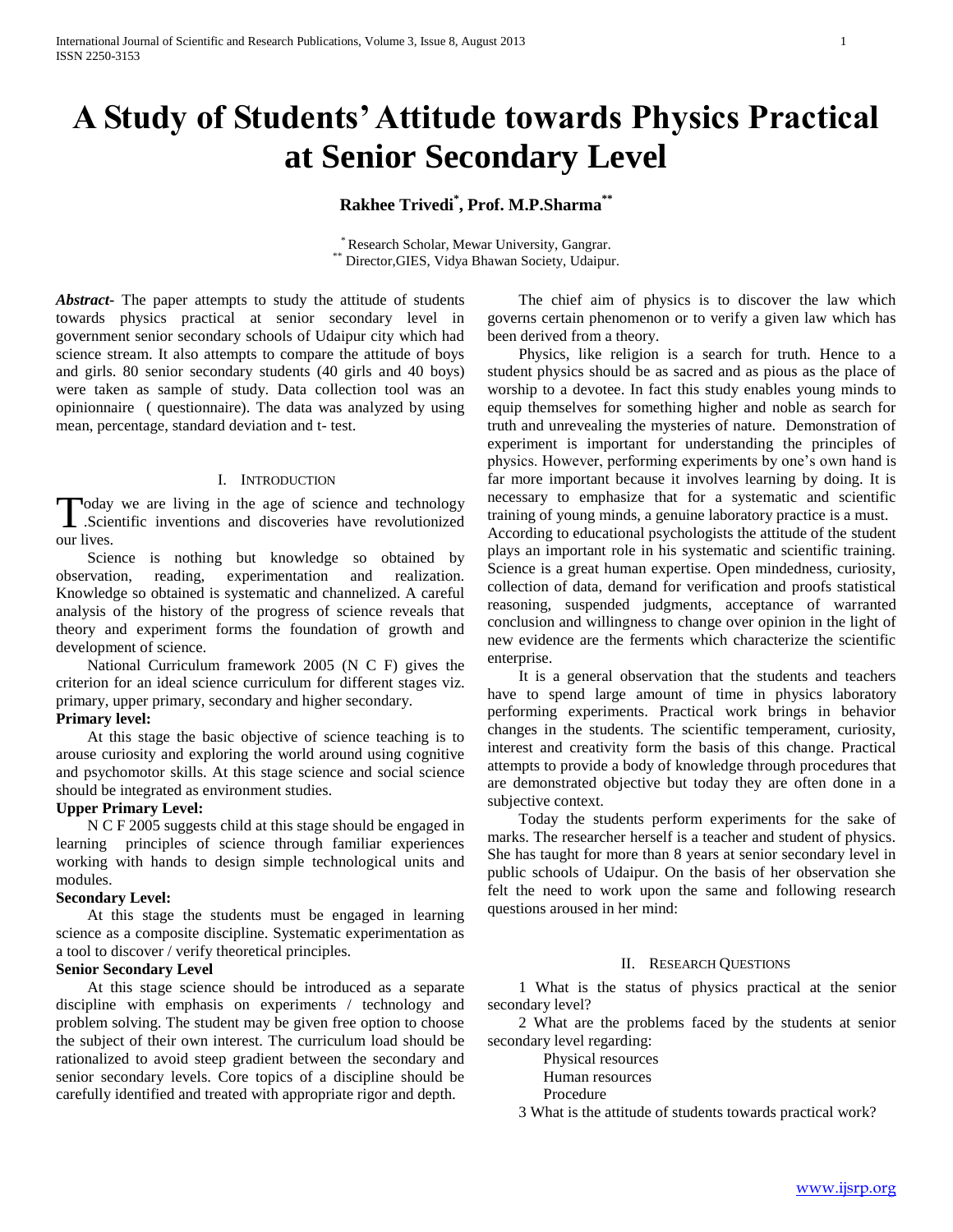# **A Study of Students' Attitude towards Physics Practical at Senior Secondary Level**

# **Rakhee Trivedi\* , Prof. M.P.Sharma\*\***

\* Research Scholar, Mewar University, Gangrar. \*\* Director,GIES, Vidya Bhawan Society, Udaipur.

*Abstract***-** The paper attempts to study the attitude of students towards physics practical at senior secondary level in government senior secondary schools of Udaipur city which had science stream. It also attempts to compare the attitude of boys and girls. 80 senior secondary students (40 girls and 40 boys) were taken as sample of study. Data collection tool was an opinionnaire ( questionnaire). The data was analyzed by using mean, percentage, standard deviation and t- test.

# I. INTRODUCTION

oday we are living in the age of science and technology Today we are living in the age of science and technology<br>
Scientific inventions and discoveries have revolutionized our lives.

 Science is nothing but knowledge so obtained by observation, reading, experimentation and realization. Knowledge so obtained is systematic and channelized. A careful analysis of the history of the progress of science reveals that theory and experiment forms the foundation of growth and development of science.

 National Curriculum framework 2005 (N C F) gives the criterion for an ideal science curriculum for different stages viz. primary, upper primary, secondary and higher secondary.

# **Primary level:**

 At this stage the basic objective of science teaching is to arouse curiosity and exploring the world around using cognitive and psychomotor skills. At this stage science and social science should be integrated as environment studies.

# **Upper Primary Level:**

 N C F 2005 suggests child at this stage should be engaged in learning principles of science through familiar experiences working with hands to design simple technological units and modules.

# **Secondary Level:**

 At this stage the students must be engaged in learning science as a composite discipline. Systematic experimentation as a tool to discover / verify theoretical principles.

# **Senior Secondary Level**

 At this stage science should be introduced as a separate discipline with emphasis on experiments / technology and problem solving. The student may be given free option to choose the subject of their own interest. The curriculum load should be rationalized to avoid steep gradient between the secondary and senior secondary levels. Core topics of a discipline should be carefully identified and treated with appropriate rigor and depth.

 The chief aim of physics is to discover the law which governs certain phenomenon or to verify a given law which has been derived from a theory.

 Physics, like religion is a search for truth. Hence to a student physics should be as sacred and as pious as the place of worship to a devotee. In fact this study enables young minds to equip themselves for something higher and noble as search for truth and unrevealing the mysteries of nature. Demonstration of experiment is important for understanding the principles of physics. However, performing experiments by one's own hand is far more important because it involves learning by doing. It is necessary to emphasize that for a systematic and scientific training of young minds, a genuine laboratory practice is a must. According to educational psychologists the attitude of the student plays an important role in his systematic and scientific training. Science is a great human expertise. Open mindedness, curiosity, collection of data, demand for verification and proofs statistical reasoning, suspended judgments, acceptance of warranted conclusion and willingness to change over opinion in the light of new evidence are the ferments which characterize the scientific enterprise.

 It is a general observation that the students and teachers have to spend large amount of time in physics laboratory performing experiments. Practical work brings in behavior changes in the students. The scientific temperament, curiosity, interest and creativity form the basis of this change. Practical attempts to provide a body of knowledge through procedures that are demonstrated objective but today they are often done in a subjective context.

 Today the students perform experiments for the sake of marks. The researcher herself is a teacher and student of physics. She has taught for more than 8 years at senior secondary level in public schools of Udaipur. On the basis of her observation she felt the need to work upon the same and following research questions aroused in her mind:

# II. RESEARCH QUESTIONS

 1 What is the status of physics practical at the senior secondary level?

 2 What are the problems faced by the students at senior secondary level regarding:

- Physical resources
- Human resources

# Procedure

3 What is the attitude of students towards practical work?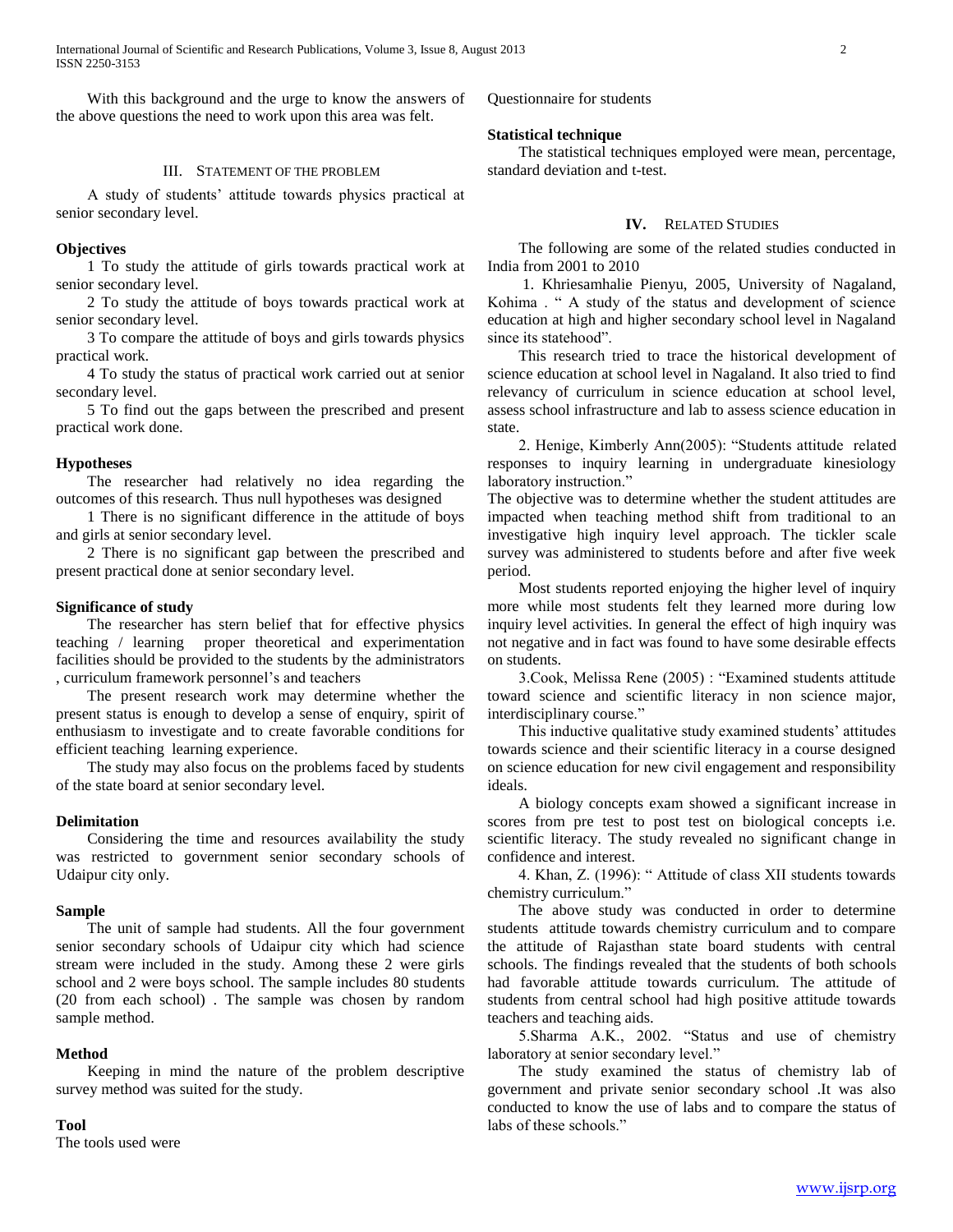With this background and the urge to know the answers of the above questions the need to work upon this area was felt.

# III. STATEMENT OF THE PROBLEM

 A study of students' attitude towards physics practical at senior secondary level.

# **Objectives**

 1 To study the attitude of girls towards practical work at senior secondary level.

 2 To study the attitude of boys towards practical work at senior secondary level.

 3 To compare the attitude of boys and girls towards physics practical work.

 4 To study the status of practical work carried out at senior secondary level.

 5 To find out the gaps between the prescribed and present practical work done.

# **Hypotheses**

 The researcher had relatively no idea regarding the outcomes of this research. Thus null hypotheses was designed

 1 There is no significant difference in the attitude of boys and girls at senior secondary level.

 2 There is no significant gap between the prescribed and present practical done at senior secondary level.

# **Significance of study**

 The researcher has stern belief that for effective physics teaching / learning proper theoretical and experimentation facilities should be provided to the students by the administrators , curriculum framework personnel's and teachers

 The present research work may determine whether the present status is enough to develop a sense of enquiry, spirit of enthusiasm to investigate and to create favorable conditions for efficient teaching learning experience.

 The study may also focus on the problems faced by students of the state board at senior secondary level.

#### **Delimitation**

 Considering the time and resources availability the study was restricted to government senior secondary schools of Udaipur city only.

#### **Sample**

 The unit of sample had students. All the four government senior secondary schools of Udaipur city which had science stream were included in the study. Among these 2 were girls school and 2 were boys school. The sample includes 80 students (20 from each school) . The sample was chosen by random sample method.

#### **Method**

 Keeping in mind the nature of the problem descriptive survey method was suited for the study.

#### **Tool**

The tools used were

Questionnaire for students

# **Statistical technique**

 The statistical techniques employed were mean, percentage, standard deviation and t-test.

# **IV.** RELATED STUDIES

 The following are some of the related studies conducted in India from 2001 to 2010

 1. Khriesamhalie Pienyu, 2005, University of Nagaland, Kohima . " A study of the status and development of science education at high and higher secondary school level in Nagaland since its statehood".

 This research tried to trace the historical development of science education at school level in Nagaland. It also tried to find relevancy of curriculum in science education at school level, assess school infrastructure and lab to assess science education in state.

 2. Henige, Kimberly Ann(2005): "Students attitude related responses to inquiry learning in undergraduate kinesiology laboratory instruction."

The objective was to determine whether the student attitudes are impacted when teaching method shift from traditional to an investigative high inquiry level approach. The tickler scale survey was administered to students before and after five week period.

 Most students reported enjoying the higher level of inquiry more while most students felt they learned more during low inquiry level activities. In general the effect of high inquiry was not negative and in fact was found to have some desirable effects on students.

 3.Cook, Melissa Rene (2005) : "Examined students attitude toward science and scientific literacy in non science major, interdisciplinary course."

 This inductive qualitative study examined students' attitudes towards science and their scientific literacy in a course designed on science education for new civil engagement and responsibility ideals.

 A biology concepts exam showed a significant increase in scores from pre test to post test on biological concepts i.e. scientific literacy. The study revealed no significant change in confidence and interest.

 4. Khan, Z. (1996): " Attitude of class XII students towards chemistry curriculum."

 The above study was conducted in order to determine students attitude towards chemistry curriculum and to compare the attitude of Rajasthan state board students with central schools. The findings revealed that the students of both schools had favorable attitude towards curriculum. The attitude of students from central school had high positive attitude towards teachers and teaching aids.

 5.Sharma A.K., 2002. "Status and use of chemistry laboratory at senior secondary level."

 The study examined the status of chemistry lab of government and private senior secondary school .It was also conducted to know the use of labs and to compare the status of labs of these schools."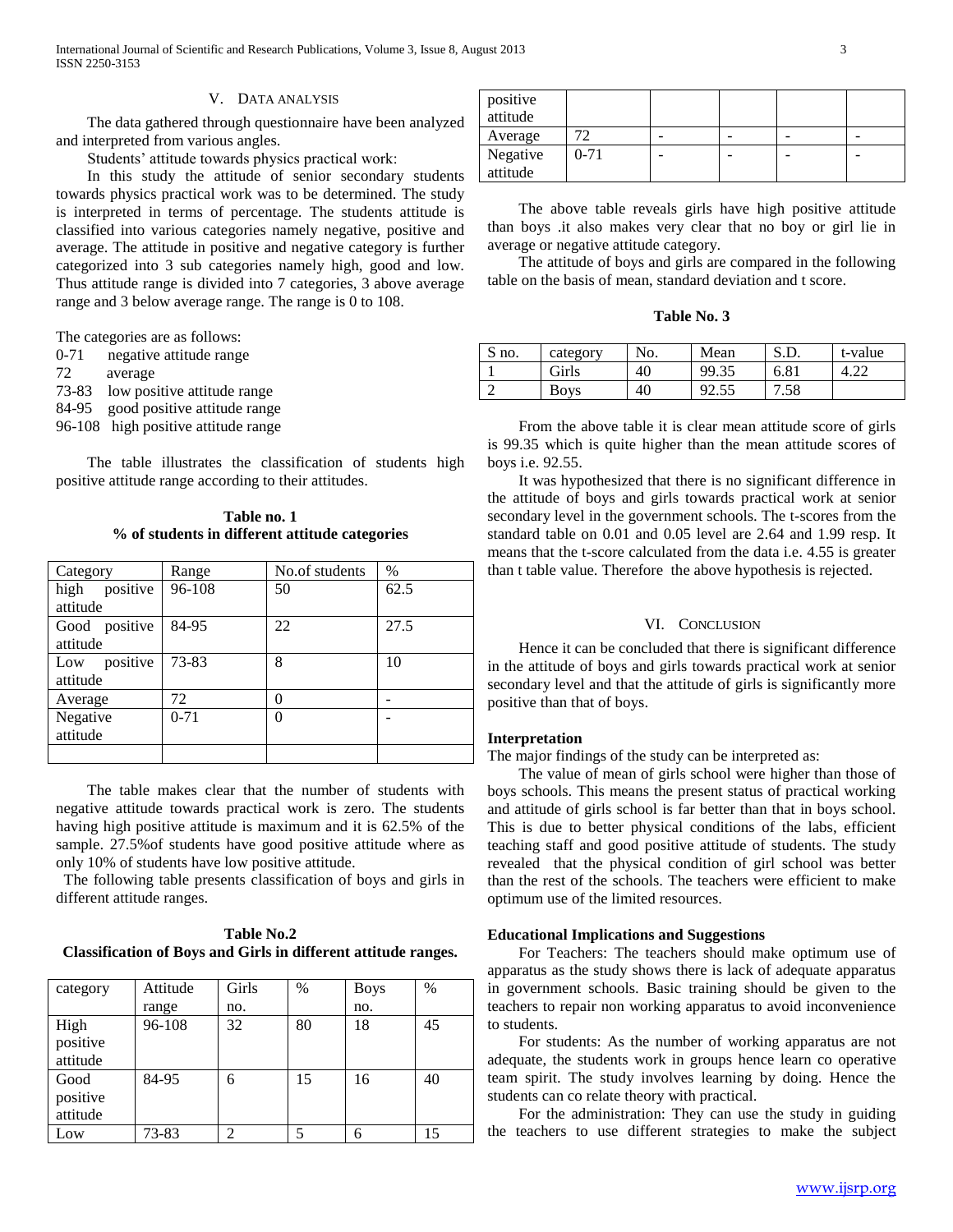# V. DATA ANALYSIS

 The data gathered through questionnaire have been analyzed and interpreted from various angles.

Students' attitude towards physics practical work:

 In this study the attitude of senior secondary students towards physics practical work was to be determined. The study is interpreted in terms of percentage. The students attitude is classified into various categories namely negative, positive and average. The attitude in positive and negative category is further categorized into 3 sub categories namely high, good and low. Thus attitude range is divided into 7 categories, 3 above average range and 3 below average range. The range is 0 to 108.

The categories are as follows:

- 0-71 negative attitude range
- 72 average
- 73-83 low positive attitude range
- 84-95 good positive attitude range
- 96-108 high positive attitude range

 The table illustrates the classification of students high positive attitude range according to their attitudes.

**Table no. 1 % of students in different attitude categories**

| Category                    | Range    | No.of students   | $\%$ |
|-----------------------------|----------|------------------|------|
| high positive<br>attitude   | 96-108   | 50               | 62.5 |
| Good positive<br>attitude   | 84-95    | 22               | 27.5 |
| positive<br>Low<br>attitude | 73-83    | 8                | 10   |
| Average                     | 72       | 0                |      |
| Negative<br>attitude        | $0 - 71$ | $\boldsymbol{0}$ |      |
|                             |          |                  |      |

 The table makes clear that the number of students with negative attitude towards practical work is zero. The students having high positive attitude is maximum and it is 62.5% of the sample. 27.5%of students have good positive attitude where as only 10% of students have low positive attitude.

 The following table presents classification of boys and girls in different attitude ranges.

| <b>Table No.2</b>                                                     |  |  |  |  |
|-----------------------------------------------------------------------|--|--|--|--|
| <b>Classification of Boys and Girls in different attitude ranges.</b> |  |  |  |  |

| category | Attitude | Girls          | $\%$ | <b>Boys</b> | $\%$ |
|----------|----------|----------------|------|-------------|------|
|          | range    | no.            |      | no.         |      |
| High     | 96-108   | 32             | 80   | 18          | 45   |
| positive |          |                |      |             |      |
| attitude |          |                |      |             |      |
| Good     | 84-95    | 6              | 15   | 16          | 40   |
| positive |          |                |      |             |      |
| attitude |          |                |      |             |      |
| Low      | 73-83    | $\mathfrak{D}$ | 5    | 6           | 15   |

| positive<br>attitude |          |  |  |
|----------------------|----------|--|--|
| Average              |          |  |  |
| Negative<br>attitude | $0 - 71$ |  |  |

 The above table reveals girls have high positive attitude than boys .it also makes very clear that no boy or girl lie in average or negative attitude category.

 The attitude of boys and girls are compared in the following table on the basis of mean, standard deviation and t score.

| Table No. 3 |  |  |
|-------------|--|--|
|-------------|--|--|

| S no. | category | No. | Mean  | S.D. | t-value |
|-------|----------|-----|-------|------|---------|
|       | Girls    | 40  | 99.35 | 6.81 | <i></i> |
|       | Bovs     | 40  | 92.5  | 7.58 |         |

 From the above table it is clear mean attitude score of girls is 99.35 which is quite higher than the mean attitude scores of boys i.e. 92.55.

 It was hypothesized that there is no significant difference in the attitude of boys and girls towards practical work at senior secondary level in the government schools. The t-scores from the standard table on 0.01 and 0.05 level are 2.64 and 1.99 resp. It means that the t-score calculated from the data i.e. 4.55 is greater than t table value. Therefore the above hypothesis is rejected.

# VI. CONCLUSION

 Hence it can be concluded that there is significant difference in the attitude of boys and girls towards practical work at senior secondary level and that the attitude of girls is significantly more positive than that of boys.

#### **Interpretation**

The major findings of the study can be interpreted as:

 The value of mean of girls school were higher than those of boys schools. This means the present status of practical working and attitude of girls school is far better than that in boys school. This is due to better physical conditions of the labs, efficient teaching staff and good positive attitude of students. The study revealed that the physical condition of girl school was better than the rest of the schools. The teachers were efficient to make optimum use of the limited resources.

#### **Educational Implications and Suggestions**

 For Teachers: The teachers should make optimum use of apparatus as the study shows there is lack of adequate apparatus in government schools. Basic training should be given to the teachers to repair non working apparatus to avoid inconvenience to students.

 For students: As the number of working apparatus are not adequate, the students work in groups hence learn co operative team spirit. The study involves learning by doing. Hence the students can co relate theory with practical.

 For the administration: They can use the study in guiding the teachers to use different strategies to make the subject